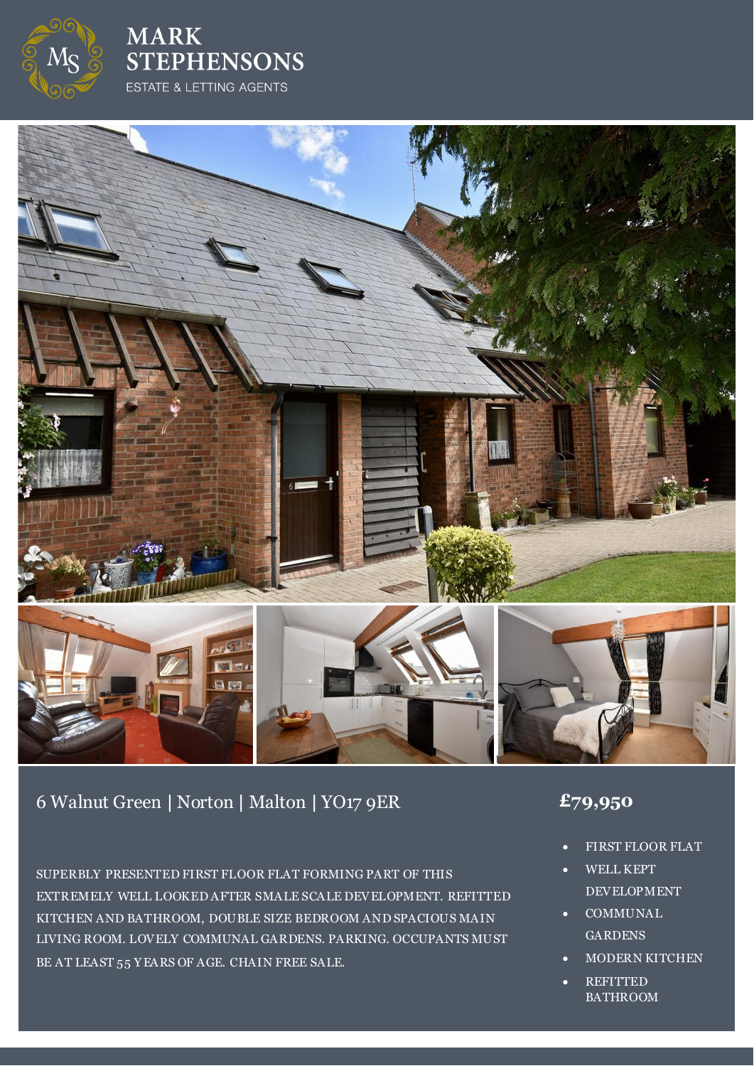

**MARK STEPHENSONS** ESTATE & LETTING AGENTS



# 6 Walnut Green **|** Norton **|** Malton **|** YO17 9ER **£79,950**

SUPERBLY PRESENTED FIRST FLOOR FLAT FORMING PART OF THIS EXTREMELY WELL LOOKED AFTER SMALE SCALE DEVELOPMENT. REFITTED KITCHEN AND BATHROOM, DOUBLE SIZE BEDROOM AND SPACIOUS MAIN LIVING ROOM. LOVELY COMMUNAL GARDENS. PARKING. OCCUPANTS MUST BE AT LEAST 55 Y EARS OF AGE. CHAIN FREE SALE.

- FIRST FLOOR FLAT
- WELL KEPT DEVELOPMENT
- COMMUNAL **GARDENS**
- MODERN KITCHEN
- REFITTED BATHROOM